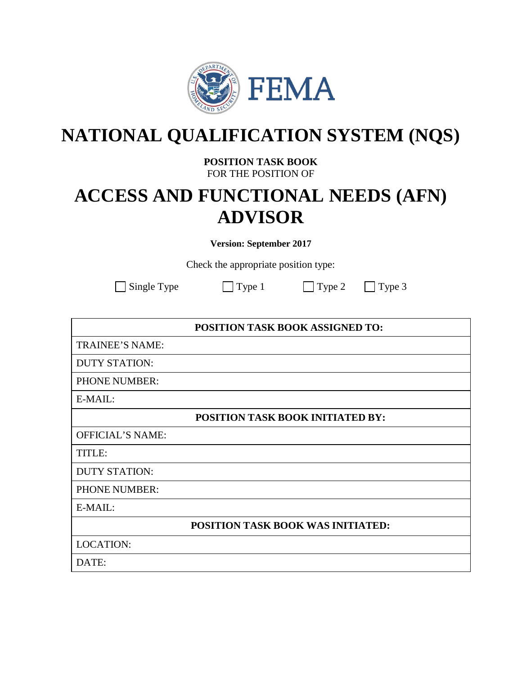

# **NATIONAL QUALIFICATION SYSTEM (NQS)**

#### **POSITION TASK BOOK**  FOR THE POSITION OF

# **ACCESS AND FUNCTIONAL NEEDS (AFN) ADVISOR**

**Version: September 2017** 

Check the appropriate position type:

 $\Box$  Single Type  $\Box$  Type 1  $\Box$  Type 2  $\Box$  Type 3

| <b>POSITION TASK BOOK ASSIGNED TO:</b>   |
|------------------------------------------|
| <b>TRAINEE'S NAME:</b>                   |
| <b>DUTY STATION:</b>                     |
| <b>PHONE NUMBER:</b>                     |
| E-MAIL:                                  |
| POSITION TASK BOOK INITIATED BY:         |
| <b>OFFICIAL'S NAME:</b>                  |
| TITLE:                                   |
| <b>DUTY STATION:</b>                     |
| PHONE NUMBER:                            |
| E-MAIL:                                  |
| <b>POSITION TASK BOOK WAS INITIATED:</b> |
| <b>LOCATION:</b>                         |
| DATE:                                    |
|                                          |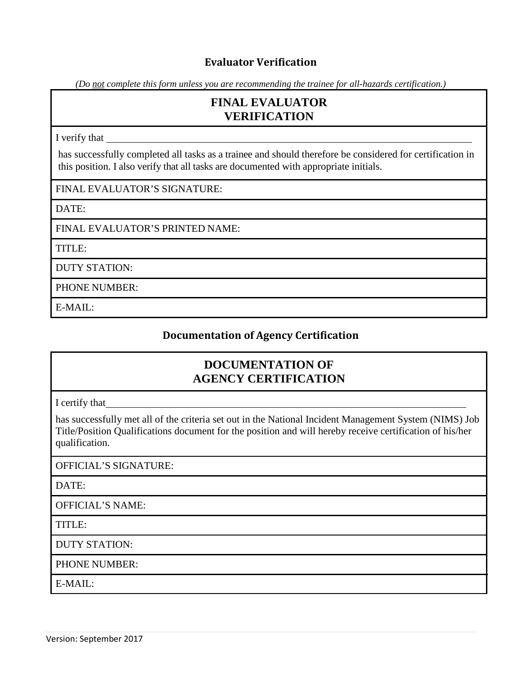## **Evaluator Verification**

*(Do not complete this form unless you are recommending the trainee for all-hazards certification.)* 

# **FINAL EVALUATOR VERIFICATION**

I verify that

has successfully completed all tasks as a trainee and should therefore be considered for certification in this position. I also verify that all tasks are documented with appropriate initials.

#### FINAL EVALUATOR'S SIGNATURE:

DATE:

#### FINAL EVALUATOR'S PRINTED NAME:

TITLE:

DUTY STATION:

PHONE NUMBER:

E-MAIL:

### **Documentation of Agency Certification**

# **DOCUMENTATION OF AGENCY CERTIFICATION**

I certify that

has successfully met all of the criteria set out in the National Incident Management System (NIMS) Job Title/Position Qualifications document for the position and will hereby receive certification of his/her qualification.

OFFICIAL'S SIGNATURE:

DATE:

OFFICIAL'S NAME:

TITLE:

DUTY STATION:

PHONE NUMBER:

E-MAIL: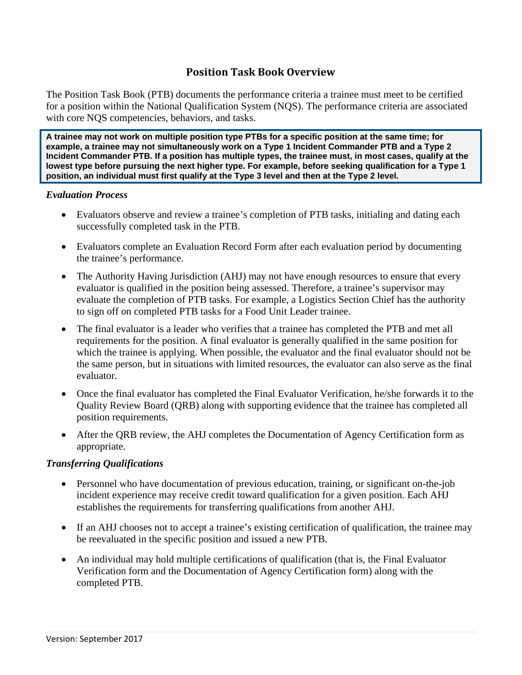# **Position Task Book Overview**

The Position Task Book (PTB) documents the performance criteria a trainee must meet to be certified for a position within the National Qualification System (NQS). The performance criteria are associated with core NQS competencies, behaviors, and tasks.

**A trainee may not work on multiple position type PTBs for a specific position at the same time; for example, a trainee may not simultaneously work on a Type 1 Incident Commander PTB and a Type 2 Incident Commander PTB. If a position has multiple types, the trainee must, in most cases, qualify at the lowest type before pursuing the next higher type. For example, before seeking qualification for a Type 1 position, an individual must first qualify at the Type 3 level and then at the Type 2 level.** 

#### *Evaluation Process*

- Evaluators observe and review a trainee's completion of PTB tasks, initialing and dating each successfully completed task in the PTB.
- Evaluators complete an Evaluation Record Form after each evaluation period by documenting the trainee's performance.
- The Authority Having Jurisdiction (AHJ) may not have enough resources to ensure that every evaluator is qualified in the position being assessed. Therefore, a trainee's supervisor may evaluate the completion of PTB tasks. For example, a Logistics Section Chief has the authority to sign off on completed PTB tasks for a Food Unit Leader trainee.
- The final evaluator is a leader who verifies that a trainee has completed the PTB and met all requirements for the position. A final evaluator is generally qualified in the same position for which the trainee is applying. When possible, the evaluator and the final evaluator should not be the same person, but in situations with limited resources, the evaluator can also serve as the final evaluator.
- Once the final evaluator has completed the Final Evaluator Verification, he/she forwards it to the Quality Review Board (QRB) along with supporting evidence that the trainee has completed all position requirements.
- After the ORB review, the AHJ completes the Documentation of Agency Certification form as appropriate.

#### *Transferring Qualifications*

- Personnel who have documentation of previous education, training, or significant on-the-job incident experience may receive credit toward qualification for a given position. Each AHJ establishes the requirements for transferring qualifications from another AHJ.
- If an AHJ chooses not to accept a trainee's existing certification of qualification, the trainee may be reevaluated in the specific position and issued a new PTB.
- An individual may hold multiple certifications of qualification (that is, the Final Evaluator Verification form and the Documentation of Agency Certification form) along with the completed PTB.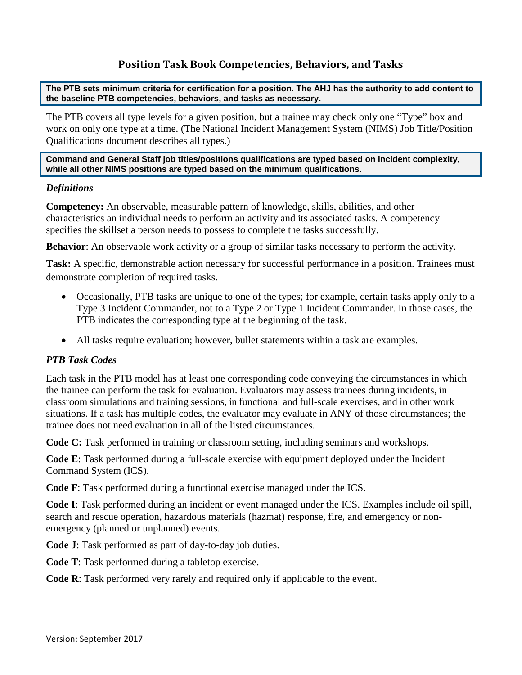## **Position Task Book Competencies, Behaviors, and Tasks**

**The PTB sets minimum criteria for certification for a position. The AHJ has the authority to add content to the baseline PTB competencies, behaviors, and tasks as necessary.**

The PTB covers all type levels for a given position, but a trainee may check only one "Type" box and work on only one type at a time. (The National Incident Management System (NIMS) Job Title/Position Qualifications document describes all types.)

**Command and General Staff job titles/positions qualifications are typed based on incident complexity, while all other NIMS positions are typed based on the minimum qualifications.** 

#### *Definitions*

**Competency:** An observable, measurable pattern of knowledge, skills, abilities, and other characteristics an individual needs to perform an activity and its associated tasks. A competency specifies the skillset a person needs to possess to complete the tasks successfully.

**Behavior**: An observable work activity or a group of similar tasks necessary to perform the activity.

**Task:** A specific, demonstrable action necessary for successful performance in a position. Trainees must demonstrate completion of required tasks.

- Occasionally, PTB tasks are unique to one of the types; for example, certain tasks apply only to a Type 3 Incident Commander, not to a Type 2 or Type 1 Incident Commander. In those cases, the PTB indicates the corresponding type at the beginning of the task.
- All tasks require evaluation; however, bullet statements within a task are examples.

#### *PTB Task Codes*

Each task in the PTB model has at least one corresponding code conveying the circumstances in which the trainee can perform the task for evaluation. Evaluators may assess trainees during incidents, in classroom simulations and training sessions, in functional and full-scale exercises, and in other work situations. If a task has multiple codes, the evaluator may evaluate in ANY of those circumstances; the trainee does not need evaluation in all of the listed circumstances.

**Code C:** Task performed in training or classroom setting, including seminars and workshops.

**Code E**: Task performed during a full-scale exercise with equipment deployed under the Incident Command System (ICS).

**Code F**: Task performed during a functional exercise managed under the ICS.

**Code I**: Task performed during an incident or event managed under the ICS. Examples include oil spill, search and rescue operation, hazardous materials (hazmat) response, fire, and emergency or nonemergency (planned or unplanned) events.

**Code J**: Task performed as part of day-to-day job duties.

**Code T**: Task performed during a tabletop exercise.

**Code R**: Task performed very rarely and required only if applicable to the event.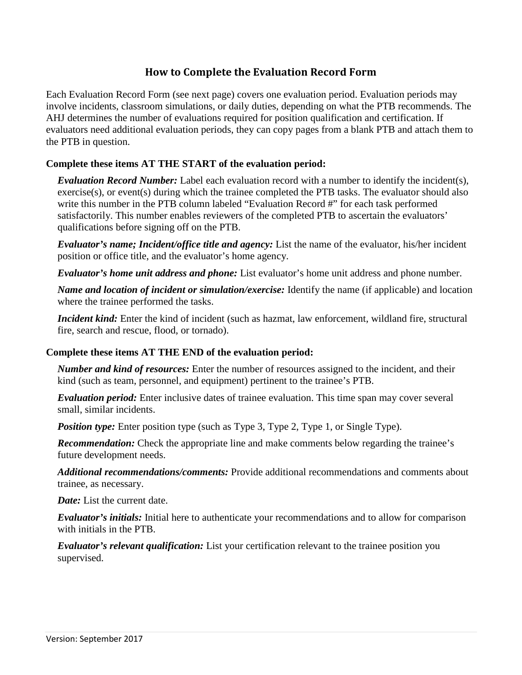# **How to Complete the Evaluation Record Form**

Each Evaluation Record Form (see next page) covers one evaluation period. Evaluation periods may involve incidents, classroom simulations, or daily duties, depending on what the PTB recommends. The AHJ determines the number of evaluations required for position qualification and certification. If evaluators need additional evaluation periods, they can copy pages from a blank PTB and attach them to the PTB in question.

#### **Complete these items AT THE START of the evaluation period:**

*Evaluation Record Number:* Label each evaluation record with a number to identify the incident(s), exercise(s), or event(s) during which the trainee completed the PTB tasks. The evaluator should also write this number in the PTB column labeled "Evaluation Record #" for each task performed satisfactorily. This number enables reviewers of the completed PTB to ascertain the evaluators' qualifications before signing off on the PTB.

*Evaluator's name; Incident/office title and agency:* List the name of the evaluator, his/her incident position or office title, and the evaluator's home agency.

*Evaluator's home unit address and phone:* List evaluator's home unit address and phone number.

*Name and location of incident or simulation/exercise:* Identify the name (if applicable) and location where the trainee performed the tasks.

*Incident kind:* Enter the kind of incident (such as hazmat, law enforcement, wildland fire, structural fire, search and rescue, flood, or tornado).

#### **Complete these items AT THE END of the evaluation period:**

*Number and kind of resources:* Enter the number of resources assigned to the incident, and their kind (such as team, personnel, and equipment) pertinent to the trainee's PTB.

*Evaluation period:* Enter inclusive dates of trainee evaluation. This time span may cover several small, similar incidents.

*Position type:* Enter position type (such as Type 3, Type 2, Type 1, or Single Type).

**Recommendation:** Check the appropriate line and make comments below regarding the trainee's future development needs.

*Additional recommendations/comments:* Provide additional recommendations and comments about trainee, as necessary.

*Date:* List the current date.

*Evaluator's initials:* Initial here to authenticate your recommendations and to allow for comparison with initials in the PTB.

*Evaluator's relevant qualification:* List your certification relevant to the trainee position you supervised.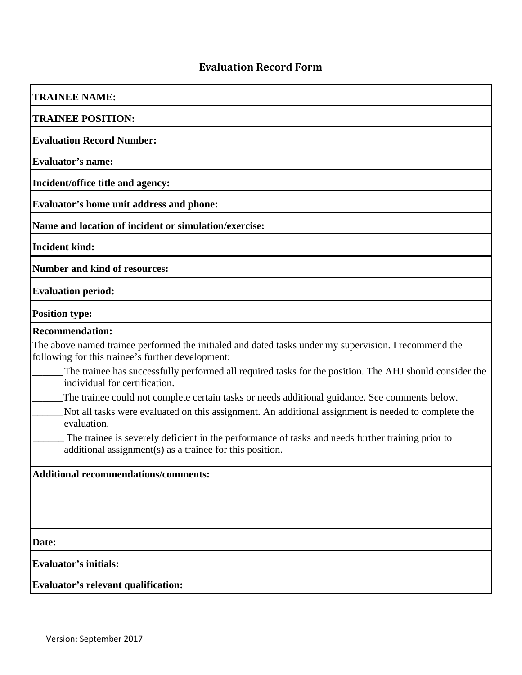# **Evaluation Record Form**

| <b>TRAINEE NAME:</b>                                                                                                                                          |
|---------------------------------------------------------------------------------------------------------------------------------------------------------------|
| <b>TRAINEE POSITION:</b>                                                                                                                                      |
| <b>Evaluation Record Number:</b>                                                                                                                              |
| <b>Evaluator's name:</b>                                                                                                                                      |
| Incident/office title and agency:                                                                                                                             |
| <b>Evaluator's home unit address and phone:</b>                                                                                                               |
| Name and location of incident or simulation/exercise:                                                                                                         |
| <b>Incident kind:</b>                                                                                                                                         |
| <b>Number and kind of resources:</b>                                                                                                                          |
| <b>Evaluation period:</b>                                                                                                                                     |
| <b>Position type:</b>                                                                                                                                         |
| <b>Recommendation:</b>                                                                                                                                        |
| The above named trainee performed the initialed and dated tasks under my supervision. I recommend the<br>following for this trainee's further development:    |
| The trainee has successfully performed all required tasks for the position. The AHJ should consider the<br>individual for certification.                      |
| The trainee could not complete certain tasks or needs additional guidance. See comments below.                                                                |
| Not all tasks were evaluated on this assignment. An additional assignment is needed to complete the<br>evaluation.                                            |
| The trainee is severely deficient in the performance of tasks and needs further training prior to<br>additional assignment(s) as a trainee for this position. |
| <b>Additional recommendations/comments:</b>                                                                                                                   |
|                                                                                                                                                               |
|                                                                                                                                                               |
|                                                                                                                                                               |
| Date:                                                                                                                                                         |
| <b>Evaluator's initials:</b>                                                                                                                                  |
| Evaluator's relevant qualification:                                                                                                                           |
|                                                                                                                                                               |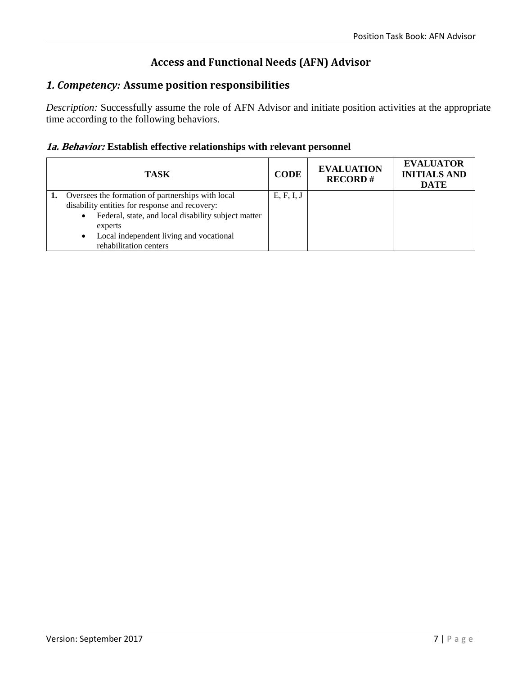# **Access and Functional Needs (AFN) Advisor**

## *1. Competency:* **Assume position responsibilities**

*Description:* Successfully assume the role of AFN Advisor and initiate position activities at the appropriate time according to the following behaviors.

#### **1a. Behavior: Establish effective relationships with relevant personnel**

| <b>TASK</b>                                                                                                                                                                                                                                                          | <b>CODE</b> | <b>EVALUATION</b><br><b>RECORD#</b> | <b>EVALUATOR</b><br><b>INITIALS AND</b><br><b>DATE</b> |
|----------------------------------------------------------------------------------------------------------------------------------------------------------------------------------------------------------------------------------------------------------------------|-------------|-------------------------------------|--------------------------------------------------------|
| Oversees the formation of partnerships with local<br>disability entities for response and recovery:<br>Federal, state, and local disability subject matter<br>$\bullet$<br>experts<br>Local independent living and vocational<br>$\bullet$<br>rehabilitation centers | E, F, I, J  |                                     |                                                        |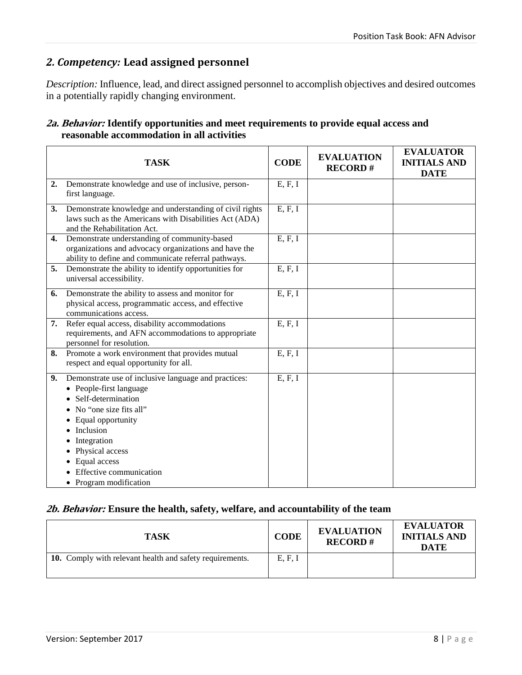## *2. Competency:* **Lead assigned personnel**

*Description:* Influence, lead, and direct assigned personnel to accomplish objectives and desired outcomes in a potentially rapidly changing environment.

### **2a. Behavior: Identify opportunities and meet requirements to provide equal access and reasonable accommodation in all activities**

|    | <b>TASK</b>                                                                                                                                                                                                                                                                | <b>CODE</b> | <b>EVALUATION</b><br><b>RECORD#</b> | <b>EVALUATOR</b><br><b>INITIALS AND</b><br><b>DATE</b> |
|----|----------------------------------------------------------------------------------------------------------------------------------------------------------------------------------------------------------------------------------------------------------------------------|-------------|-------------------------------------|--------------------------------------------------------|
| 2. | Demonstrate knowledge and use of inclusive, person-<br>first language.                                                                                                                                                                                                     | E, F, I     |                                     |                                                        |
| 3. | Demonstrate knowledge and understanding of civil rights<br>laws such as the Americans with Disabilities Act (ADA)<br>and the Rehabilitation Act.                                                                                                                           | E, F, I     |                                     |                                                        |
| 4. | Demonstrate understanding of community-based<br>organizations and advocacy organizations and have the<br>ability to define and communicate referral pathways.                                                                                                              | E, F, I     |                                     |                                                        |
| 5. | Demonstrate the ability to identify opportunities for<br>universal accessibility.                                                                                                                                                                                          | E, F, I     |                                     |                                                        |
| 6. | Demonstrate the ability to assess and monitor for<br>physical access, programmatic access, and effective<br>communications access.                                                                                                                                         | E, F, I     |                                     |                                                        |
| 7. | Refer equal access, disability accommodations<br>requirements, and AFN accommodations to appropriate<br>personnel for resolution.                                                                                                                                          | E, F, I     |                                     |                                                        |
| 8. | Promote a work environment that provides mutual<br>respect and equal opportunity for all.                                                                                                                                                                                  | E, F, I     |                                     |                                                        |
| 9. | Demonstrate use of inclusive language and practices:<br>• People-first language<br>• Self-determination<br>No "one size fits all"<br>Equal opportunity<br>Inclusion<br>Integration<br>Physical access<br>Equal access<br>Effective communication<br>• Program modification | E, F, I     |                                     |                                                        |

#### **2b. Behavior: Ensure the health, safety, welfare, and accountability of the team**

| <b>TASK</b>                                              | <b>CODE</b> | <b>EVALUATION</b><br><b>RECORD#</b> | <b>EVALUATOR</b><br><b>INITIALS AND</b><br><b>DATE</b> |
|----------------------------------------------------------|-------------|-------------------------------------|--------------------------------------------------------|
| 10. Comply with relevant health and safety requirements. | E, F, I     |                                     |                                                        |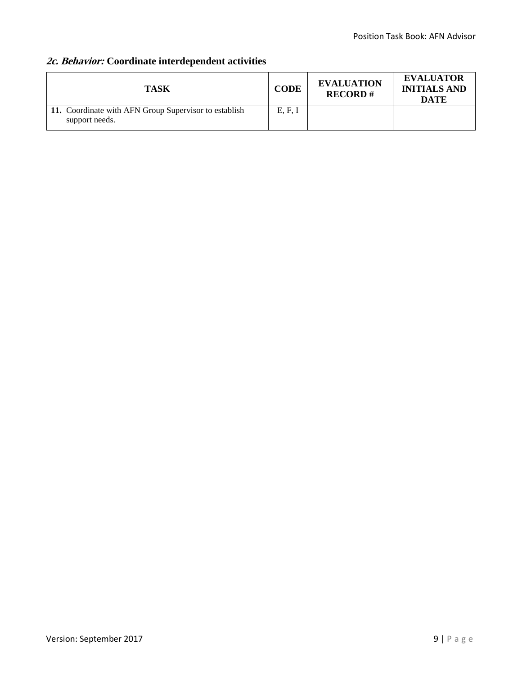# **2c. Behavior: Coordinate interdependent activities**

| <b>TASK</b>                                                             | <b>CODE</b> | <b>EVALUATION</b><br><b>RECORD#</b> | <b>EVALUATOR</b><br><b>INITIALS AND</b><br><b>DATE</b> |
|-------------------------------------------------------------------------|-------------|-------------------------------------|--------------------------------------------------------|
| 11. Coordinate with AFN Group Supervisor to establish<br>support needs. | E, F, I     |                                     |                                                        |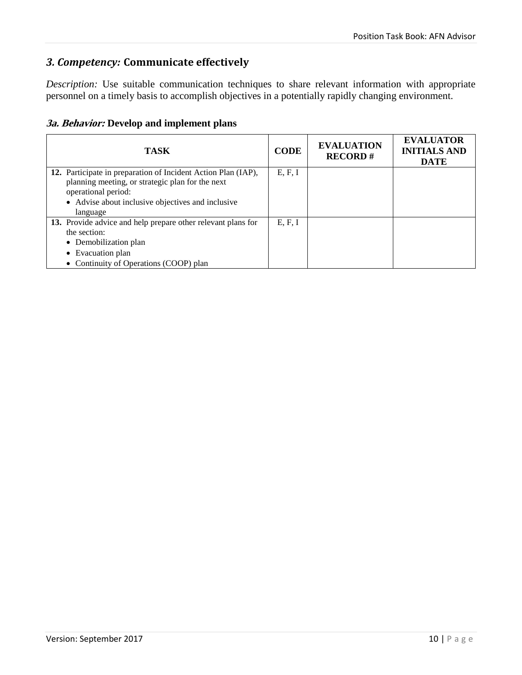# *3. Competency:* **Communicate effectively**

*Description:* Use suitable communication techniques to share relevant information with appropriate personnel on a timely basis to accomplish objectives in a potentially rapidly changing environment.

|  |  | <b>3a. Behavior: Develop and implement plans</b> |
|--|--|--------------------------------------------------|
|  |  |                                                  |

| <b>TASK</b>                                                                                                       | <b>CODE</b> | <b>EVALUATION</b><br><b>RECORD#</b> | <b>EVALUATOR</b><br><b>INITIALS AND</b><br><b>DATE</b> |
|-------------------------------------------------------------------------------------------------------------------|-------------|-------------------------------------|--------------------------------------------------------|
| 12. Participate in preparation of Incident Action Plan (IAP),<br>planning meeting, or strategic plan for the next | E, F, I     |                                     |                                                        |
| operational period:                                                                                               |             |                                     |                                                        |
| • Advise about inclusive objectives and inclusive                                                                 |             |                                     |                                                        |
| language                                                                                                          |             |                                     |                                                        |
| 13. Provide advice and help prepare other relevant plans for                                                      | E, F, I     |                                     |                                                        |
| the section:                                                                                                      |             |                                     |                                                        |
| • Demobilization plan                                                                                             |             |                                     |                                                        |
| Evacuation plan                                                                                                   |             |                                     |                                                        |
| • Continuity of Operations (COOP) plan                                                                            |             |                                     |                                                        |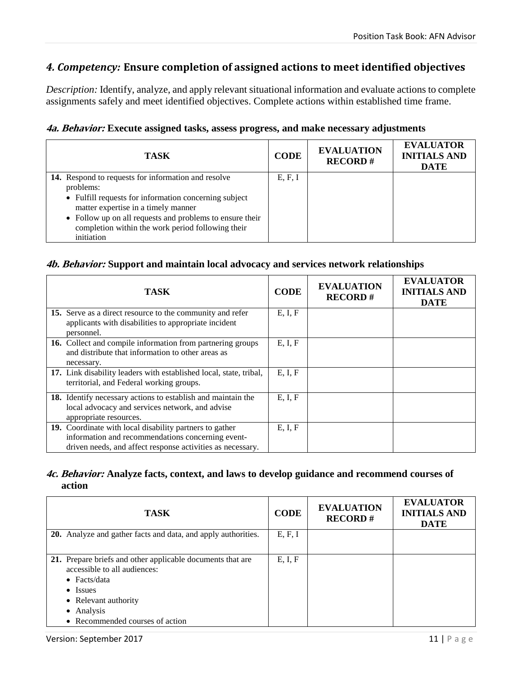# *4. Competency:* **Ensure completion of assigned actions to meet identified objectives**

*Description:* Identify, analyze, and apply relevant situational information and evaluate actions to complete assignments safely and meet identified objectives. Complete actions within established time frame.

| 4a. Behavior: Execute assigned tasks, assess progress, and make necessary adjustments |  |  |  |
|---------------------------------------------------------------------------------------|--|--|--|
|---------------------------------------------------------------------------------------|--|--|--|

| <b>TASK</b>                                                                                                                                                                                                                                                                                     | <b>CODE</b> | <b>EVALUATION</b><br><b>RECORD#</b> | <b>EVALUATOR</b><br><b>INITIALS AND</b><br><b>DATE</b> |
|-------------------------------------------------------------------------------------------------------------------------------------------------------------------------------------------------------------------------------------------------------------------------------------------------|-------------|-------------------------------------|--------------------------------------------------------|
| 14. Respond to requests for information and resolve<br>problems:<br>• Fulfill requests for information concerning subject<br>matter expertise in a timely manner<br>• Follow up on all requests and problems to ensure their<br>completion within the work period following their<br>initiation | E, F, I     |                                     |                                                        |

#### **4b. Behavior: Support and maintain local advocacy and services network relationships**

| <b>TASK</b>                                                                                                                                                                | <b>CODE</b> | <b>EVALUATION</b><br><b>RECORD#</b> | <b>EVALUATOR</b><br><b>INITIALS AND</b><br><b>DATE</b> |
|----------------------------------------------------------------------------------------------------------------------------------------------------------------------------|-------------|-------------------------------------|--------------------------------------------------------|
| 15. Serve as a direct resource to the community and refer<br>applicants with disabilities to appropriate incident<br>personnel.                                            | E, I, F     |                                     |                                                        |
| 16. Collect and compile information from partnering groups<br>and distribute that information to other areas as<br>necessary.                                              | E, I, F     |                                     |                                                        |
| 17. Link disability leaders with established local, state, tribal,<br>territorial, and Federal working groups.                                                             | E, I, F     |                                     |                                                        |
| 18. Identify necessary actions to establish and maintain the<br>local advocacy and services network, and advise<br>appropriate resources.                                  | E, I, F     |                                     |                                                        |
| 19. Coordinate with local disability partners to gather<br>information and recommendations concerning event-<br>driven needs, and affect response activities as necessary. | E, I, F     |                                     |                                                        |

#### **4c. Behavior: Analyze facts, context, and laws to develop guidance and recommend courses of action**

| <b>TASK</b>                                                                                                                                                                                             | <b>CODE</b> | <b>EVALUATION</b><br><b>RECORD#</b> | <b>EVALUATOR</b><br><b>INITIALS AND</b><br><b>DATE</b> |
|---------------------------------------------------------------------------------------------------------------------------------------------------------------------------------------------------------|-------------|-------------------------------------|--------------------------------------------------------|
| <b>20.</b> Analyze and gather facts and data, and apply authorities.                                                                                                                                    | E, F, I     |                                     |                                                        |
| 21. Prepare briefs and other applicable documents that are<br>accessible to all audiences:<br>• Facts/data<br>$\bullet$ Issues<br>• Relevant authority<br>• Analysis<br>• Recommended courses of action | E, I, F     |                                     |                                                        |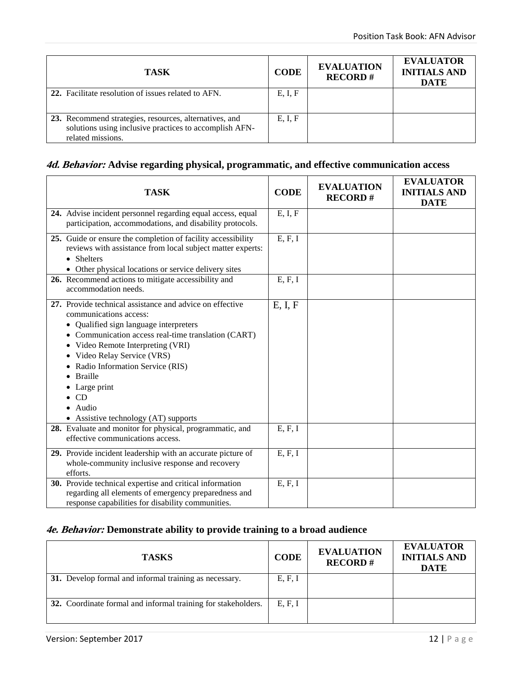| <b>TASK</b>                                                                                                                           | <b>CODE</b> | <b>EVALUATION</b><br><b>RECORD#</b> | <b>EVALUATOR</b><br><b>INITIALS AND</b><br><b>DATE</b> |
|---------------------------------------------------------------------------------------------------------------------------------------|-------------|-------------------------------------|--------------------------------------------------------|
| 22. Facilitate resolution of issues related to AFN.                                                                                   | E, I, F     |                                     |                                                        |
| 23. Recommend strategies, resources, alternatives, and<br>solutions using inclusive practices to accomplish AFN-<br>related missions. | E. I. F     |                                     |                                                        |

#### **4d. Behavior: Advise regarding physical, programmatic, and effective communication access**

| <b>TASK</b>                                                                                                                                                                                                                                                                                                                                                                                  | <b>CODE</b> | <b>EVALUATION</b><br><b>RECORD#</b> | <b>EVALUATOR</b><br><b>INITIALS AND</b><br><b>DATE</b> |
|----------------------------------------------------------------------------------------------------------------------------------------------------------------------------------------------------------------------------------------------------------------------------------------------------------------------------------------------------------------------------------------------|-------------|-------------------------------------|--------------------------------------------------------|
| 24. Advise incident personnel regarding equal access, equal<br>participation, accommodations, and disability protocols.                                                                                                                                                                                                                                                                      | E, I, F     |                                     |                                                        |
| 25. Guide or ensure the completion of facility accessibility<br>reviews with assistance from local subject matter experts:<br>• Shelters<br>• Other physical locations or service delivery sites                                                                                                                                                                                             | E, F, I     |                                     |                                                        |
| 26. Recommend actions to mitigate accessibility and<br>accommodation needs.                                                                                                                                                                                                                                                                                                                  | E, F, I     |                                     |                                                        |
| 27. Provide technical assistance and advice on effective<br>communications access:<br>• Qualified sign language interpreters<br>• Communication access real-time translation (CART)<br>• Video Remote Interpreting (VRI)<br>• Video Relay Service (VRS)<br>Radio Information Service (RIS)<br><b>Braille</b><br>Large print<br>CD<br>$\bullet$ Audio<br>• Assistive technology (AT) supports | E, I, F     |                                     |                                                        |
| 28. Evaluate and monitor for physical, programmatic, and<br>effective communications access.                                                                                                                                                                                                                                                                                                 | E, F, I     |                                     |                                                        |
| 29. Provide incident leadership with an accurate picture of<br>whole-community inclusive response and recovery<br>efforts.                                                                                                                                                                                                                                                                   | E, F, I     |                                     |                                                        |
| 30. Provide technical expertise and critical information<br>regarding all elements of emergency preparedness and<br>response capabilities for disability communities.                                                                                                                                                                                                                        | E, F, I     |                                     |                                                        |

## **4e. Behavior: Demonstrate ability to provide training to a broad audience**

| <b>TASKS</b>                                                  | <b>CODE</b> | <b>EVALUATION</b><br><b>RECORD#</b> | <b>EVALUATOR</b><br><b>INITIALS AND</b><br><b>DATE</b> |
|---------------------------------------------------------------|-------------|-------------------------------------|--------------------------------------------------------|
| 31. Develop formal and informal training as necessary.        | E, F, I     |                                     |                                                        |
| 32. Coordinate formal and informal training for stakeholders. | E, F, I     |                                     |                                                        |